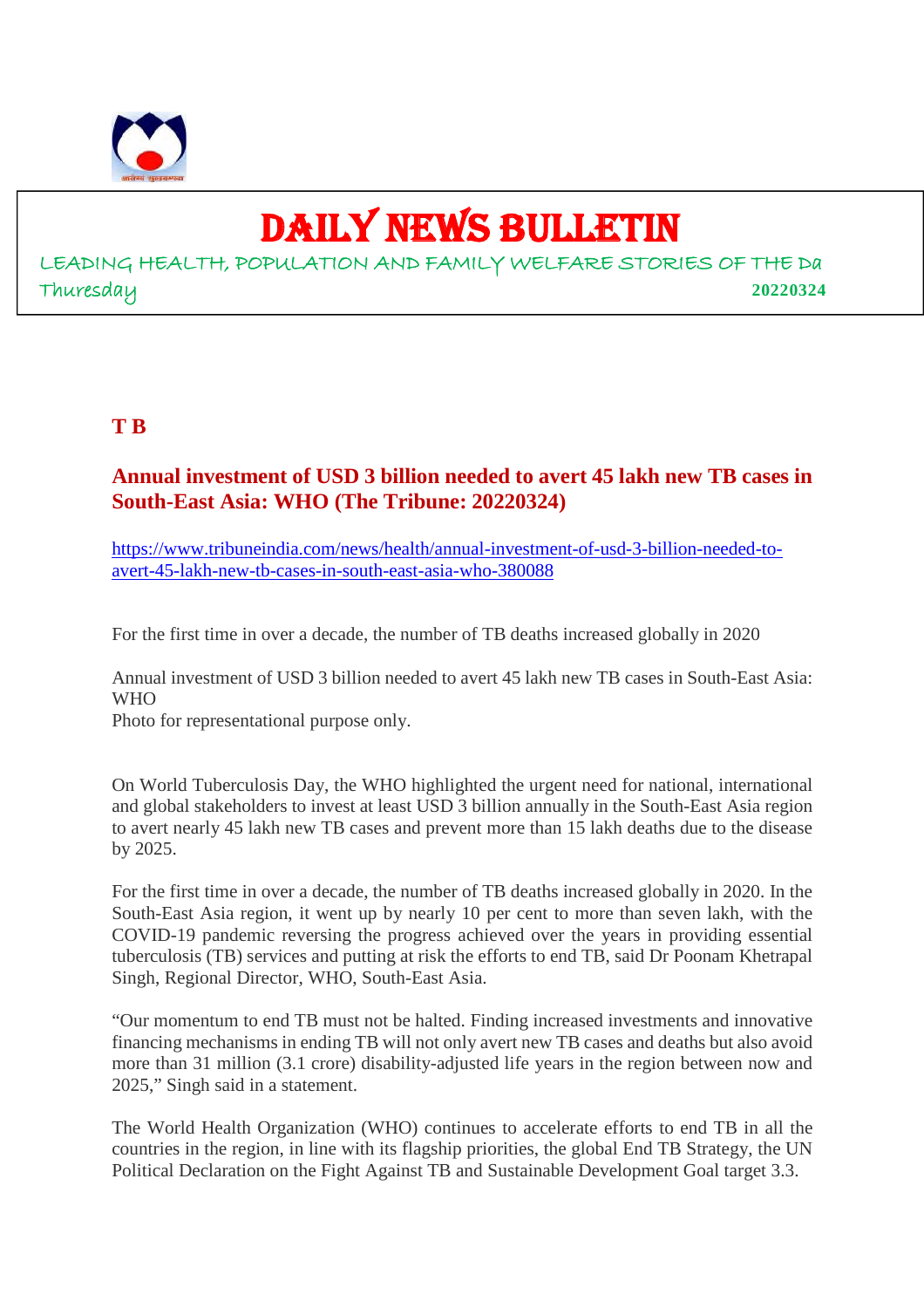

# DAILY NEWS BULLETIN

LEADING HEALTH, POPULATION AND FAMILY WELFARE STORIES OF THE Da Thuresday **20220324**

#### **T B**

#### **Annual investment of USD 3 billion needed to avert 45 lakh new TB cases in South-East Asia: WHO (The Tribune: 20220324)**

https://www.tribuneindia.com/news/health/annual-investment-of-usd-3-billion-needed-toavert-45-lakh-new-tb-cases-in-south-east-asia-who-380088

For the first time in over a decade, the number of TB deaths increased globally in 2020

Annual investment of USD 3 billion needed to avert 45 lakh new TB cases in South-East Asia: W<sub>H</sub>O

Photo for representational purpose only.

On World Tuberculosis Day, the WHO highlighted the urgent need for national, international and global stakeholders to invest at least USD 3 billion annually in the South-East Asia region to avert nearly 45 lakh new TB cases and prevent more than 15 lakh deaths due to the disease by 2025.

For the first time in over a decade, the number of TB deaths increased globally in 2020. In the South-East Asia region, it went up by nearly 10 per cent to more than seven lakh, with the COVID-19 pandemic reversing the progress achieved over the years in providing essential tuberculosis (TB) services and putting at risk the efforts to end TB, said Dr Poonam Khetrapal Singh, Regional Director, WHO, South-East Asia.

"Our momentum to end TB must not be halted. Finding increased investments and innovative financing mechanisms in ending TB will not only avert new TB cases and deaths but also avoid more than 31 million (3.1 crore) disability-adjusted life years in the region between now and 2025," Singh said in a statement.

The World Health Organization (WHO) continues to accelerate efforts to end TB in all the countries in the region, in line with its flagship priorities, the global End TB Strategy, the UN Political Declaration on the Fight Against TB and Sustainable Development Goal target 3.3.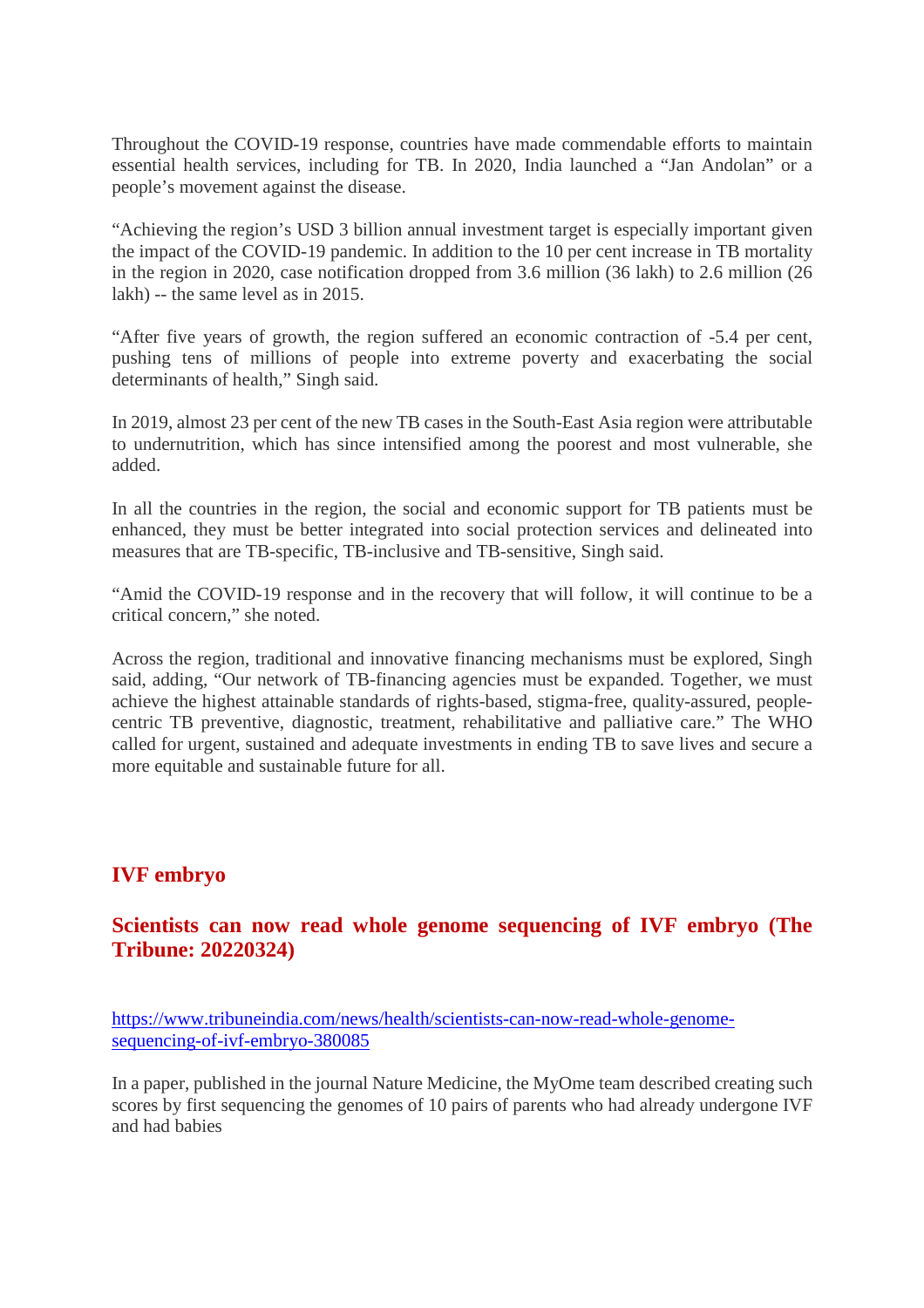Throughout the COVID-19 response, countries have made commendable efforts to maintain essential health services, including for TB. In 2020, India launched a "Jan Andolan" or a people's movement against the disease.

"Achieving the region's USD 3 billion annual investment target is especially important given the impact of the COVID-19 pandemic. In addition to the 10 per cent increase in TB mortality in the region in 2020, case notification dropped from 3.6 million (36 lakh) to 2.6 million (26 lakh) -- the same level as in 2015.

"After five years of growth, the region suffered an economic contraction of -5.4 per cent, pushing tens of millions of people into extreme poverty and exacerbating the social determinants of health," Singh said.

In 2019, almost 23 per cent of the new TB cases in the South-East Asia region were attributable to undernutrition, which has since intensified among the poorest and most vulnerable, she added.

In all the countries in the region, the social and economic support for TB patients must be enhanced, they must be better integrated into social protection services and delineated into measures that are TB-specific, TB-inclusive and TB-sensitive, Singh said.

"Amid the COVID-19 response and in the recovery that will follow, it will continue to be a critical concern," she noted.

Across the region, traditional and innovative financing mechanisms must be explored, Singh said, adding, "Our network of TB-financing agencies must be expanded. Together, we must achieve the highest attainable standards of rights-based, stigma-free, quality-assured, peoplecentric TB preventive, diagnostic, treatment, rehabilitative and palliative care." The WHO called for urgent, sustained and adequate investments in ending TB to save lives and secure a more equitable and sustainable future for all.

#### **IVF embryo**

#### **Scientists can now read whole genome sequencing of IVF embryo (The Tribune: 20220324)**

https://www.tribuneindia.com/news/health/scientists-can-now-read-whole-genomesequencing-of-ivf-embryo-380085

In a paper, published in the journal Nature Medicine, the MyOme team described creating such scores by first sequencing the genomes of 10 pairs of parents who had already undergone IVF and had babies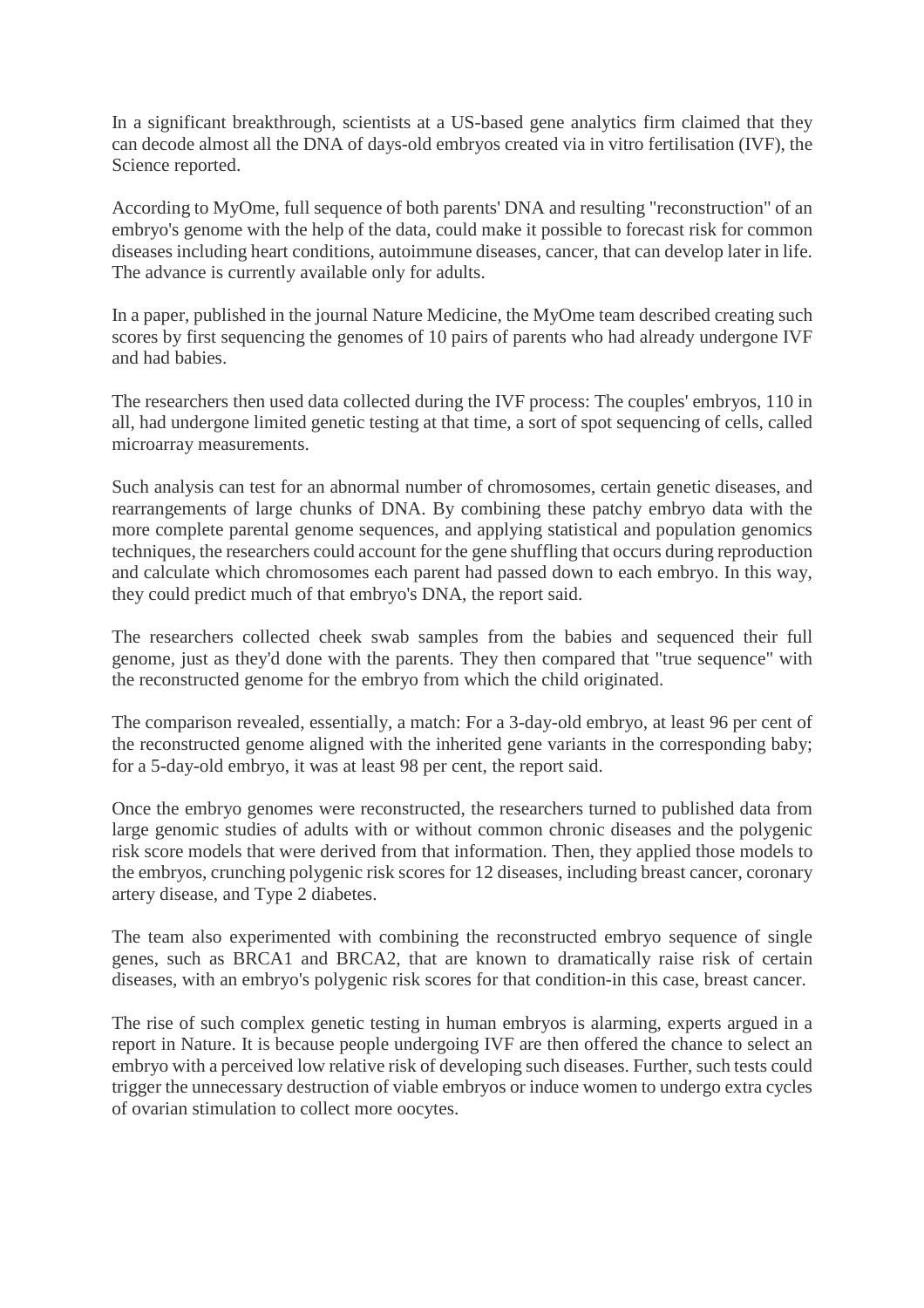In a significant breakthrough, scientists at a US-based gene analytics firm claimed that they can decode almost all the DNA of days-old embryos created via in vitro fertilisation (IVF), the Science reported.

According to MyOme, full sequence of both parents' DNA and resulting "reconstruction" of an embryo's genome with the help of the data, could make it possible to forecast risk for common diseases including heart conditions, autoimmune diseases, cancer, that can develop later in life. The advance is currently available only for adults.

In a paper, published in the journal Nature Medicine, the MyOme team described creating such scores by first sequencing the genomes of 10 pairs of parents who had already undergone IVF and had babies.

The researchers then used data collected during the IVF process: The couples' embryos, 110 in all, had undergone limited genetic testing at that time, a sort of spot sequencing of cells, called microarray measurements.

Such analysis can test for an abnormal number of chromosomes, certain genetic diseases, and rearrangements of large chunks of DNA. By combining these patchy embryo data with the more complete parental genome sequences, and applying statistical and population genomics techniques, the researchers could account for the gene shuffling that occurs during reproduction and calculate which chromosomes each parent had passed down to each embryo. In this way, they could predict much of that embryo's DNA, the report said.

The researchers collected cheek swab samples from the babies and sequenced their full genome, just as they'd done with the parents. They then compared that "true sequence" with the reconstructed genome for the embryo from which the child originated.

The comparison revealed, essentially, a match: For a 3-day-old embryo, at least 96 per cent of the reconstructed genome aligned with the inherited gene variants in the corresponding baby; for a 5-day-old embryo, it was at least 98 per cent, the report said.

Once the embryo genomes were reconstructed, the researchers turned to published data from large genomic studies of adults with or without common chronic diseases and the polygenic risk score models that were derived from that information. Then, they applied those models to the embryos, crunching polygenic risk scores for 12 diseases, including breast cancer, coronary artery disease, and Type 2 diabetes.

The team also experimented with combining the reconstructed embryo sequence of single genes, such as BRCA1 and BRCA2, that are known to dramatically raise risk of certain diseases, with an embryo's polygenic risk scores for that condition-in this case, breast cancer.

The rise of such complex genetic testing in human embryos is alarming, experts argued in a report in Nature. It is because people undergoing IVF are then offered the chance to select an embryo with a perceived low relative risk of developing such diseases. Further, such tests could trigger the unnecessary destruction of viable embryos or induce women to undergo extra cycles of ovarian stimulation to collect more oocytes.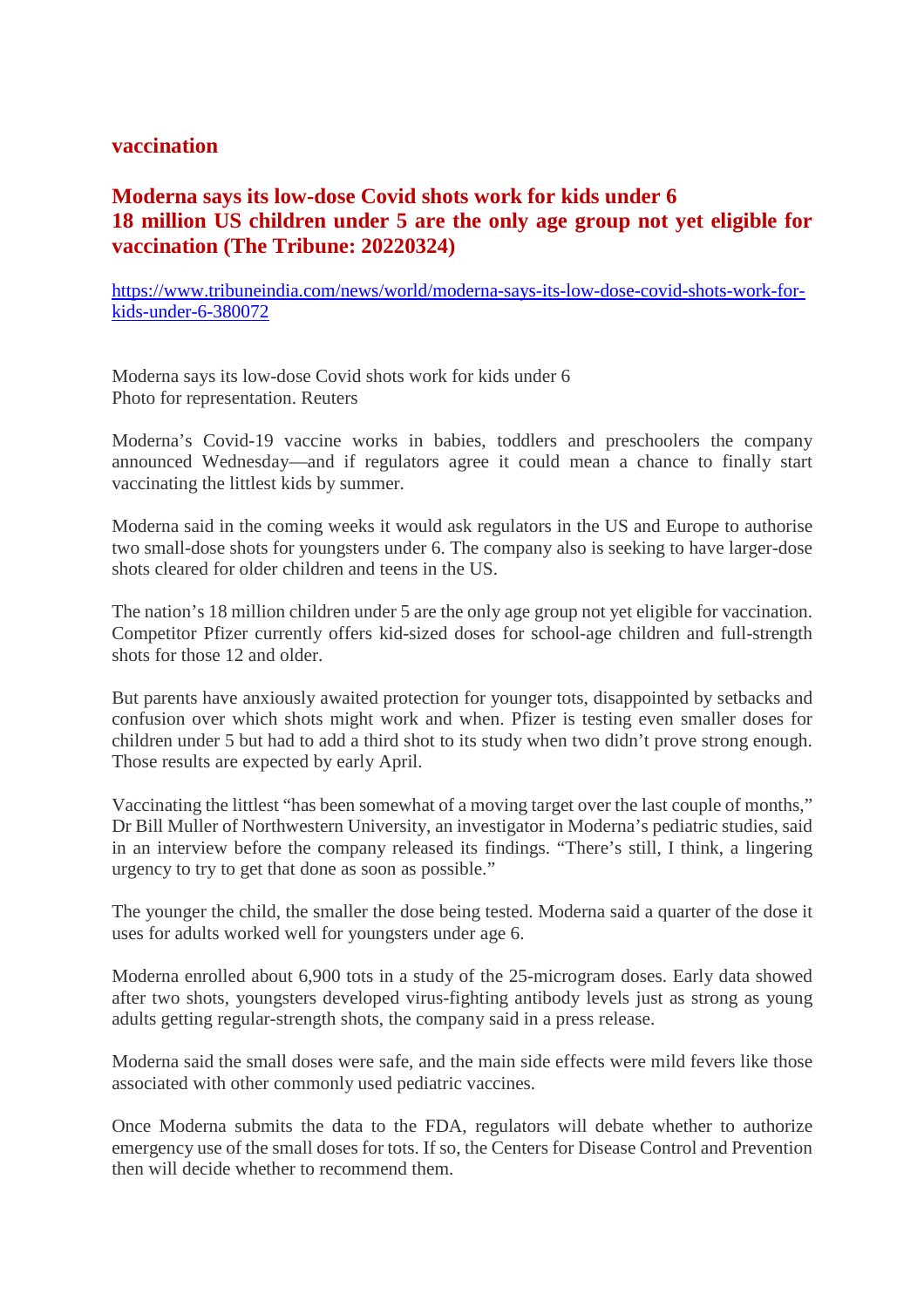#### **vaccination**

#### **Moderna says its low-dose Covid shots work for kids under 6 18 million US children under 5 are the only age group not yet eligible for vaccination (The Tribune: 20220324)**

https://www.tribuneindia.com/news/world/moderna-says-its-low-dose-covid-shots-work-forkids-under-6-380072

Moderna says its low-dose Covid shots work for kids under 6 Photo for representation. Reuters

Moderna's Covid-19 vaccine works in babies, toddlers and preschoolers the company announced Wednesday—and if regulators agree it could mean a chance to finally start vaccinating the littlest kids by summer.

Moderna said in the coming weeks it would ask regulators in the US and Europe to authorise two small-dose shots for youngsters under 6. The company also is seeking to have larger-dose shots cleared for older children and teens in the US.

The nation's 18 million children under 5 are the only age group not yet eligible for vaccination. Competitor Pfizer currently offers kid-sized doses for school-age children and full-strength shots for those 12 and older.

But parents have anxiously awaited protection for younger tots, disappointed by setbacks and confusion over which shots might work and when. Pfizer is testing even smaller doses for children under 5 but had to add a third shot to its study when two didn't prove strong enough. Those results are expected by early April.

Vaccinating the littlest "has been somewhat of a moving target over the last couple of months," Dr Bill Muller of Northwestern University, an investigator in Moderna's pediatric studies, said in an interview before the company released its findings. "There's still, I think, a lingering urgency to try to get that done as soon as possible."

The younger the child, the smaller the dose being tested. Moderna said a quarter of the dose it uses for adults worked well for youngsters under age 6.

Moderna enrolled about 6,900 tots in a study of the 25-microgram doses. Early data showed after two shots, youngsters developed virus-fighting antibody levels just as strong as young adults getting regular-strength shots, the company said in a press release.

Moderna said the small doses were safe, and the main side effects were mild fevers like those associated with other commonly used pediatric vaccines.

Once Moderna submits the data to the FDA, regulators will debate whether to authorize emergency use of the small doses for tots. If so, the Centers for Disease Control and Prevention then will decide whether to recommend them.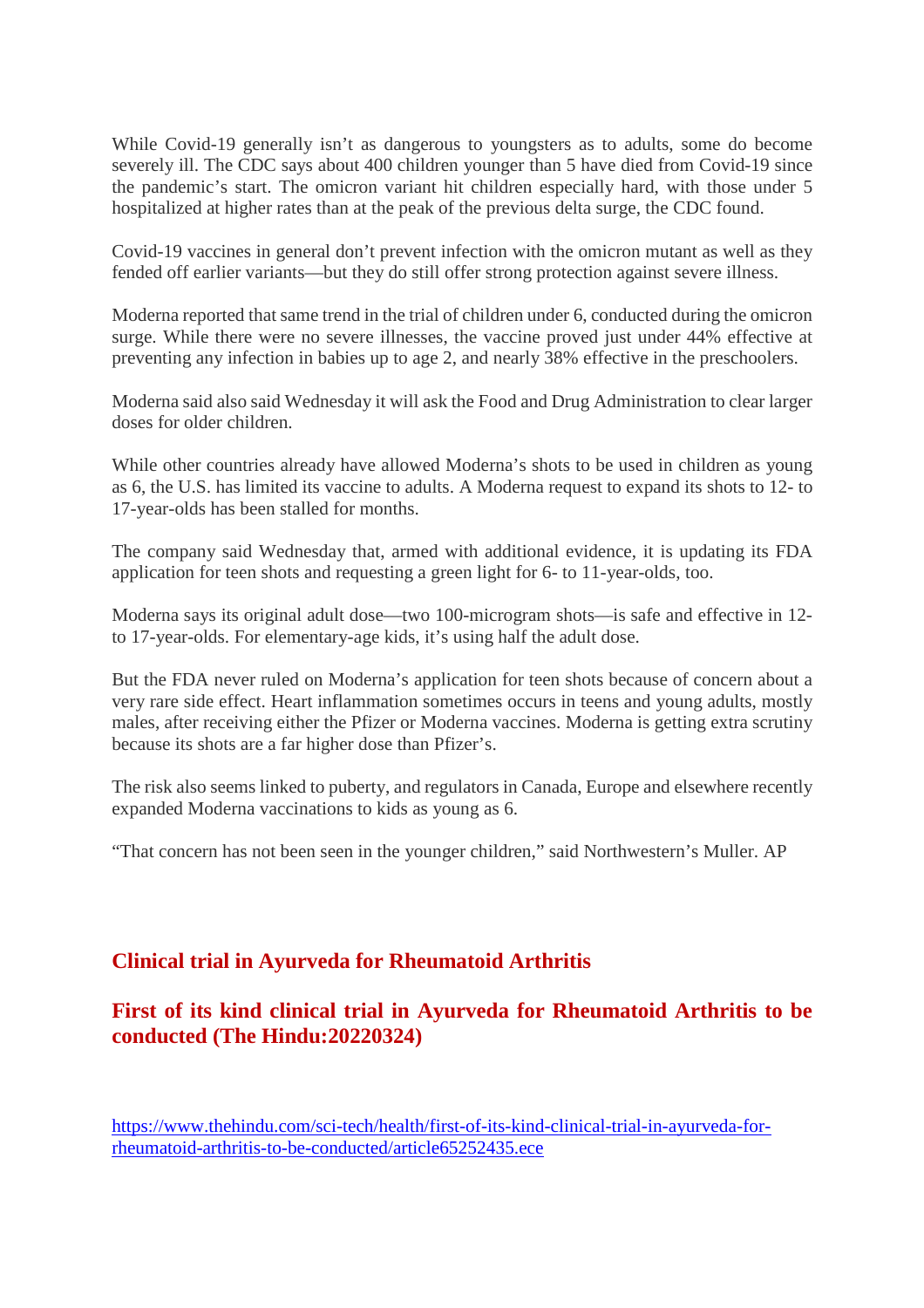While Covid-19 generally isn't as dangerous to youngsters as to adults, some do become severely ill. The CDC says about 400 children younger than 5 have died from Covid-19 since the pandemic's start. The omicron variant hit children especially hard, with those under 5 hospitalized at higher rates than at the peak of the previous delta surge, the CDC found.

Covid-19 vaccines in general don't prevent infection with the omicron mutant as well as they fended off earlier variants—but they do still offer strong protection against severe illness.

Moderna reported that same trend in the trial of children under 6, conducted during the omicron surge. While there were no severe illnesses, the vaccine proved just under 44% effective at preventing any infection in babies up to age 2, and nearly 38% effective in the preschoolers.

Moderna said also said Wednesday it will ask the Food and Drug Administration to clear larger doses for older children.

While other countries already have allowed Moderna's shots to be used in children as young as 6, the U.S. has limited its vaccine to adults. A Moderna request to expand its shots to 12- to 17-year-olds has been stalled for months.

The company said Wednesday that, armed with additional evidence, it is updating its FDA application for teen shots and requesting a green light for 6- to 11-year-olds, too.

Moderna says its original adult dose—two 100-microgram shots—is safe and effective in 12 to 17-year-olds. For elementary-age kids, it's using half the adult dose.

But the FDA never ruled on Moderna's application for teen shots because of concern about a very rare side effect. Heart inflammation sometimes occurs in teens and young adults, mostly males, after receiving either the Pfizer or Moderna vaccines. Moderna is getting extra scrutiny because its shots are a far higher dose than Pfizer's.

The risk also seems linked to puberty, and regulators in Canada, Europe and elsewhere recently expanded Moderna vaccinations to kids as young as 6.

"That concern has not been seen in the younger children," said Northwestern's Muller. AP

#### **Clinical trial in Ayurveda for Rheumatoid Arthritis**

#### **First of its kind clinical trial in Ayurveda for Rheumatoid Arthritis to be conducted (The Hindu:20220324)**

https://www.thehindu.com/sci-tech/health/first-of-its-kind-clinical-trial-in-ayurveda-forrheumatoid-arthritis-to-be-conducted/article65252435.ece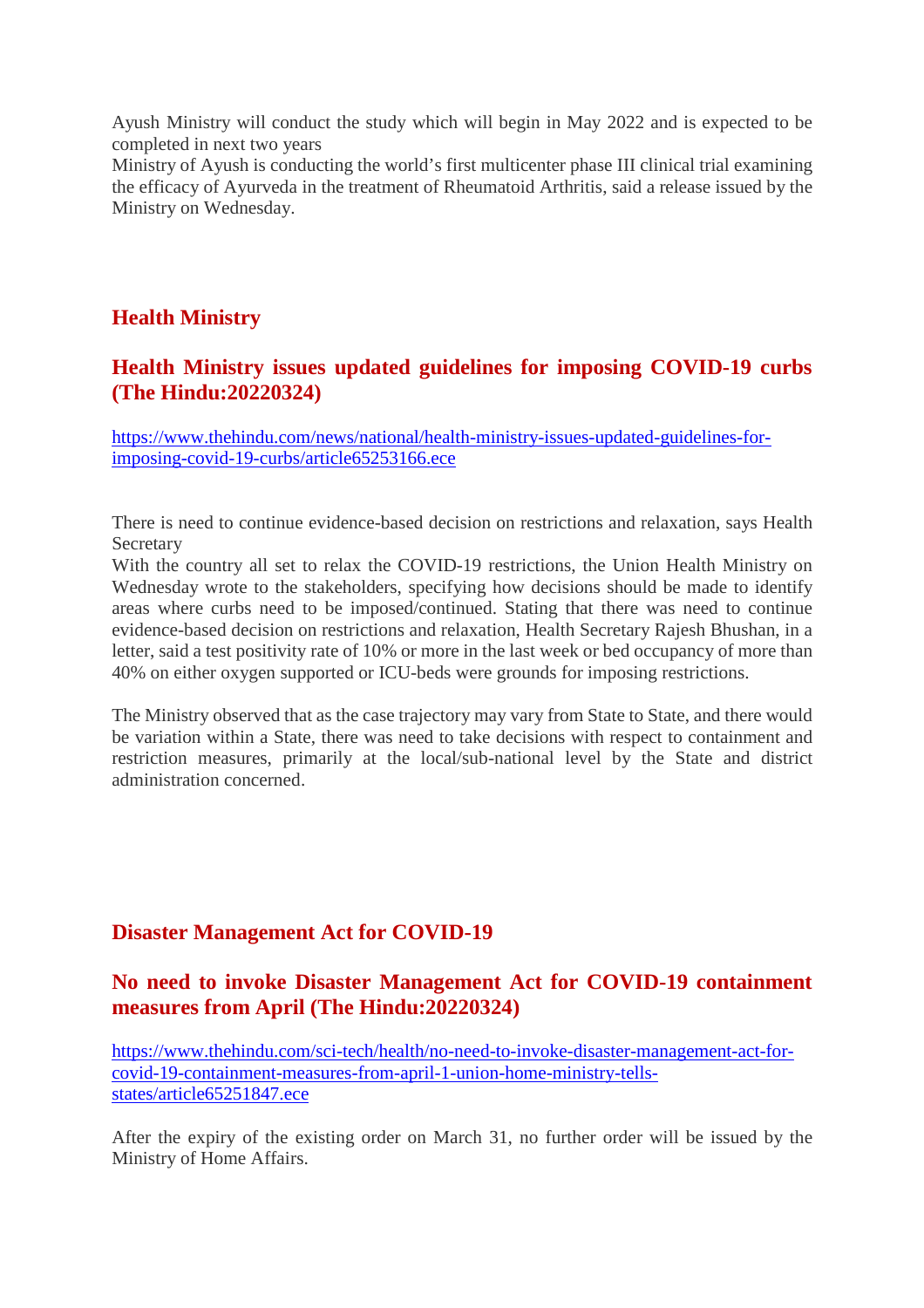Ayush Ministry will conduct the study which will begin in May 2022 and is expected to be completed in next two years

Ministry of Ayush is conducting the world's first multicenter phase III clinical trial examining the efficacy of Ayurveda in the treatment of Rheumatoid Arthritis, said a release issued by the Ministry on Wednesday.

#### **Health Ministry**

#### **Health Ministry issues updated guidelines for imposing COVID-19 curbs (The Hindu:20220324)**

https://www.thehindu.com/news/national/health-ministry-issues-updated-guidelines-forimposing-covid-19-curbs/article65253166.ece

There is need to continue evidence-based decision on restrictions and relaxation, says Health Secretary

With the country all set to relax the COVID-19 restrictions, the Union Health Ministry on Wednesday wrote to the stakeholders, specifying how decisions should be made to identify areas where curbs need to be imposed/continued. Stating that there was need to continue evidence-based decision on restrictions and relaxation, Health Secretary Rajesh Bhushan, in a letter, said a test positivity rate of 10% or more in the last week or bed occupancy of more than 40% on either oxygen supported or ICU-beds were grounds for imposing restrictions.

The Ministry observed that as the case trajectory may vary from State to State, and there would be variation within a State, there was need to take decisions with respect to containment and restriction measures, primarily at the local/sub-national level by the State and district administration concerned.

#### **Disaster Management Act for COVID-19**

#### **No need to invoke Disaster Management Act for COVID-19 containment measures from April (The Hindu:20220324)**

https://www.thehindu.com/sci-tech/health/no-need-to-invoke-disaster-management-act-forcovid-19-containment-measures-from-april-1-union-home-ministry-tellsstates/article65251847.ece

After the expiry of the existing order on March 31, no further order will be issued by the Ministry of Home Affairs.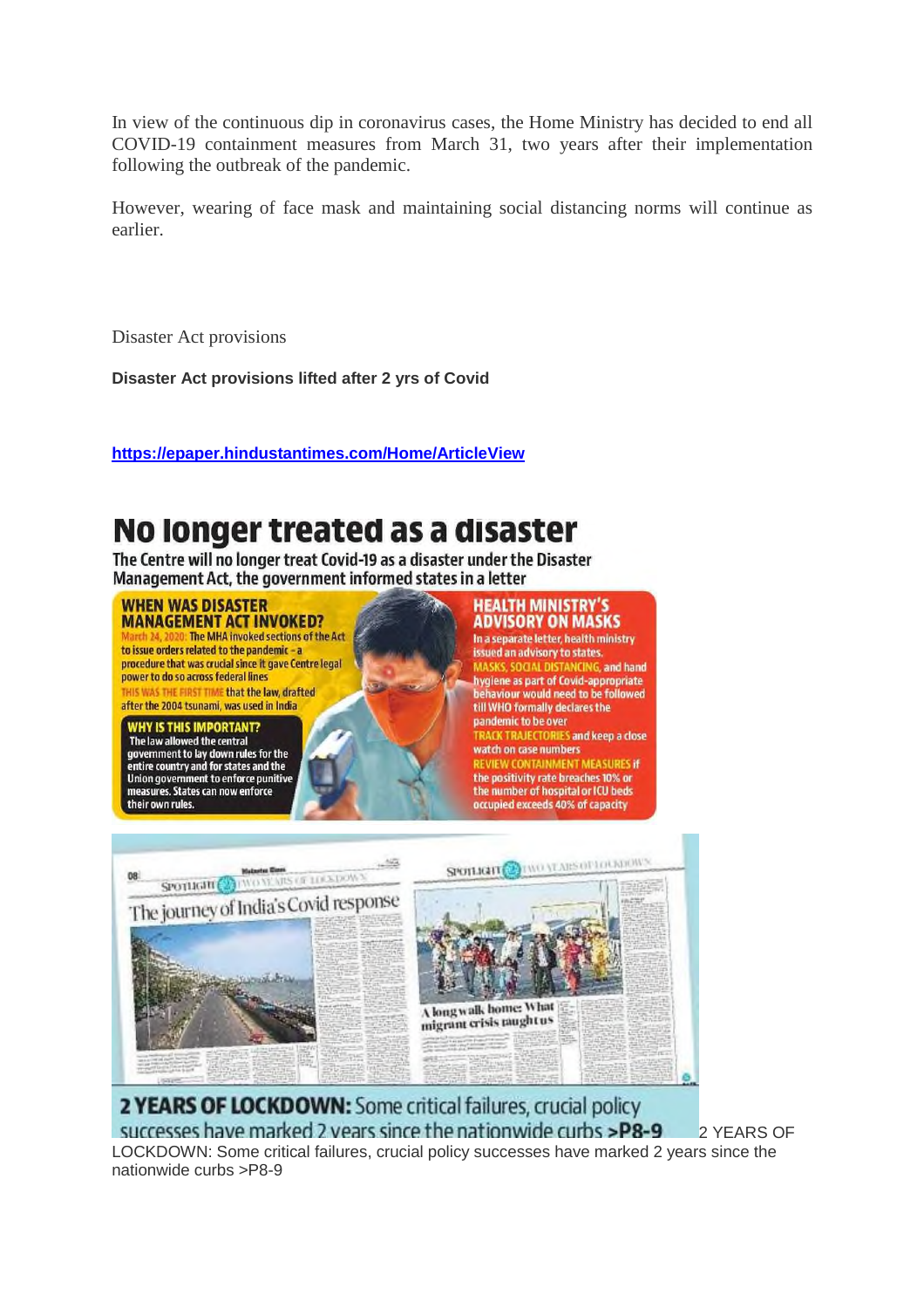In view of the continuous dip in coronavirus cases, the Home Ministry has decided to end all COVID-19 containment measures from March 31, two years after their implementation following the outbreak of the pandemic.

However, wearing of face mask and maintaining social distancing norms will continue as earlier.

Disaster Act provisions

**Disaster Act provisions lifted after 2 yrs of Covid**

**https://epaper.hindustantimes.com/Home/ArticleView**

### No longer treated as a disaster

The Centre will no longer treat Covid-19 as a disaster under the Disaster Management Act, the government informed states in a letter

#### **WHEN WAS DISASTER MANAGEMENT ACT INVOKED?**

**0: The MHA invoked sections of the Act** to issue orders related to the pandemic - a procedure that was crucial since it gave Centre legal power to do so across federal lines HIS WAS THE FIRST TIME that the law, drafted after the 2004 tsunami, was used in India

#### **WHY IS THIS IMPORTANT?**<br>The law allowed the central government to lay down rules for the<br>entire country and for states and the<br>Union government to enforce punitive measures. States can now enforce their own rules.

#### **HEALTH MINISTRY'S ADVISORY ON MASKS**

In a separate letter, health ministry issued an advisory to states. MASKS, SOCIAL DISTANCING, and hand hygiene as part of Covid-appropriate behaviour would need to be followed till WHO formally declares the pandemic to be over **TRACK TRAJECTORIES and keep a close** watch on case numbers REVIEW CONTAINMENT MEASURES if the positivity rate breaches 10% or the number of hospital or ICU beds occupied exceeds 40% of capacity



2 YEARS OF LOCKDOWN: Some critical failures, crucial policy successes have marked 2 years since the nationwide curbs >P8-9 2 YEARS OF LOCKDOWN: Some critical failures, crucial policy successes have marked 2 years since the nationwide curbs >P8-9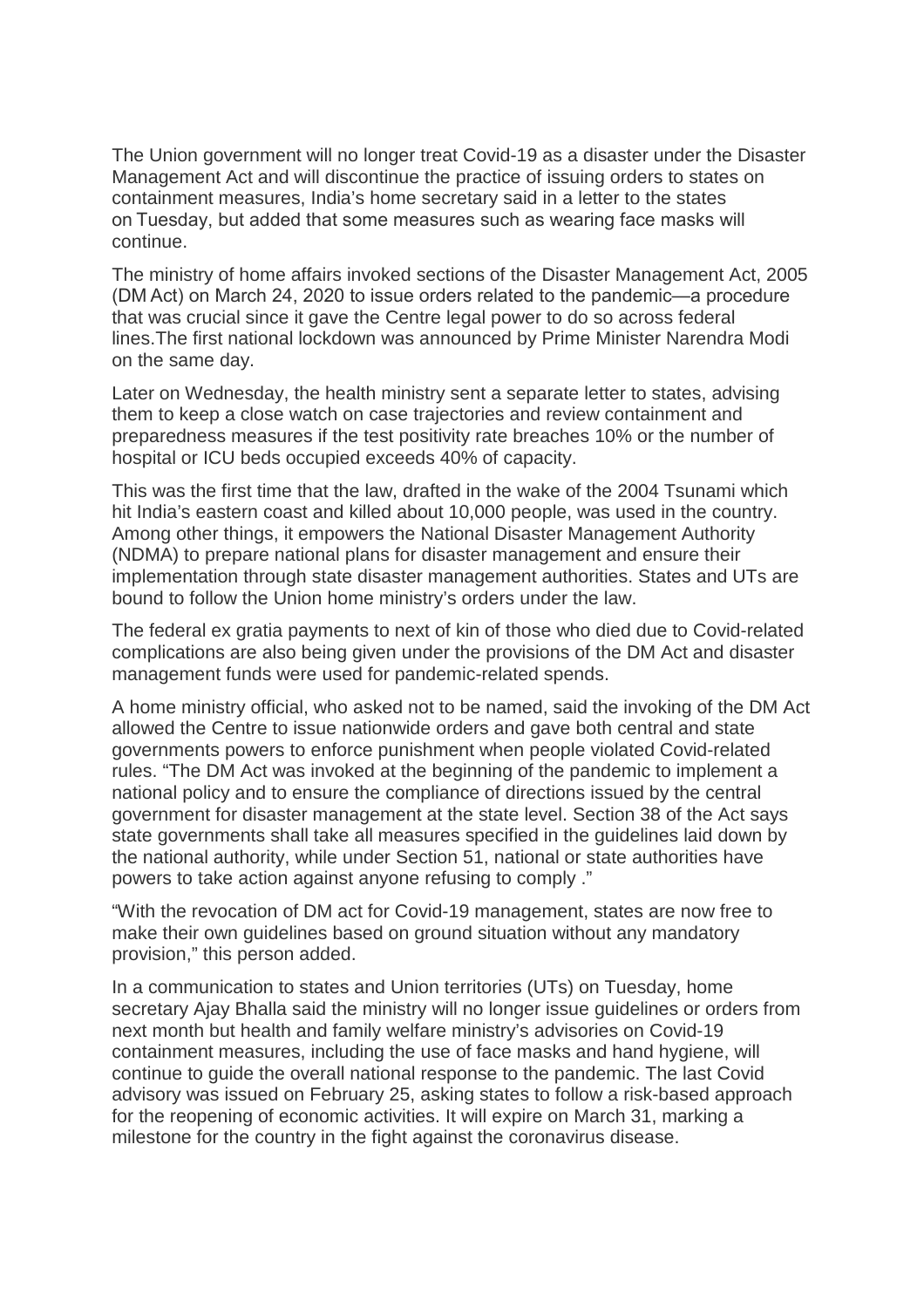The Union government will no longer treat Covid-19 as a disaster under the Disaster Management Act and will discontinue the practice of issuing orders to states on containment measures, India's home secretary said in a letter to the states on Tuesday, but added that some measures such as wearing face masks will continue.

The ministry of home affairs invoked sections of the Disaster Management Act, 2005 (DM Act) on March 24, 2020 to issue orders related to the pandemic—a procedure that was crucial since it gave the Centre legal power to do so across federal lines.The first national lockdown was announced by Prime Minister Narendra Modi on the same day.

Later on Wednesday, the health ministry sent a separate letter to states, advising them to keep a close watch on case trajectories and review containment and preparedness measures if the test positivity rate breaches 10% or the number of hospital or ICU beds occupied exceeds 40% of capacity.

This was the first time that the law, drafted in the wake of the 2004 Tsunami which hit India's eastern coast and killed about 10,000 people, was used in the country. Among other things, it empowers the National Disaster Management Authority (NDMA) to prepare national plans for disaster management and ensure their implementation through state disaster management authorities. States and UTs are bound to follow the Union home ministry's orders under the law.

The federal ex gratia payments to next of kin of those who died due to Covid-related complications are also being given under the provisions of the DM Act and disaster management funds were used for pandemic-related spends.

A home ministry official, who asked not to be named, said the invoking of the DM Act allowed the Centre to issue nationwide orders and gave both central and state governments powers to enforce punishment when people violated Covid-related rules. "The DM Act was invoked at the beginning of the pandemic to implement a national policy and to ensure the compliance of directions issued by the central government for disaster management at the state level. Section 38 of the Act says state governments shall take all measures specified in the guidelines laid down by the national authority, while under Section 51, national or state authorities have powers to take action against anyone refusing to comply ."

"With the revocation of DM act for Covid-19 management, states are now free to make their own guidelines based on ground situation without any mandatory provision," this person added.

In a communication to states and Union territories (UTs) on Tuesday, home secretary Ajay Bhalla said the ministry will no longer issue guidelines or orders from next month but health and family welfare ministry's advisories on Covid-19 containment measures, including the use of face masks and hand hygiene, will continue to guide the overall national response to the pandemic. The last Covid advisory was issued on February 25, asking states to follow a risk-based approach for the reopening of economic activities. It will expire on March 31, marking a milestone for the country in the fight against the coronavirus disease.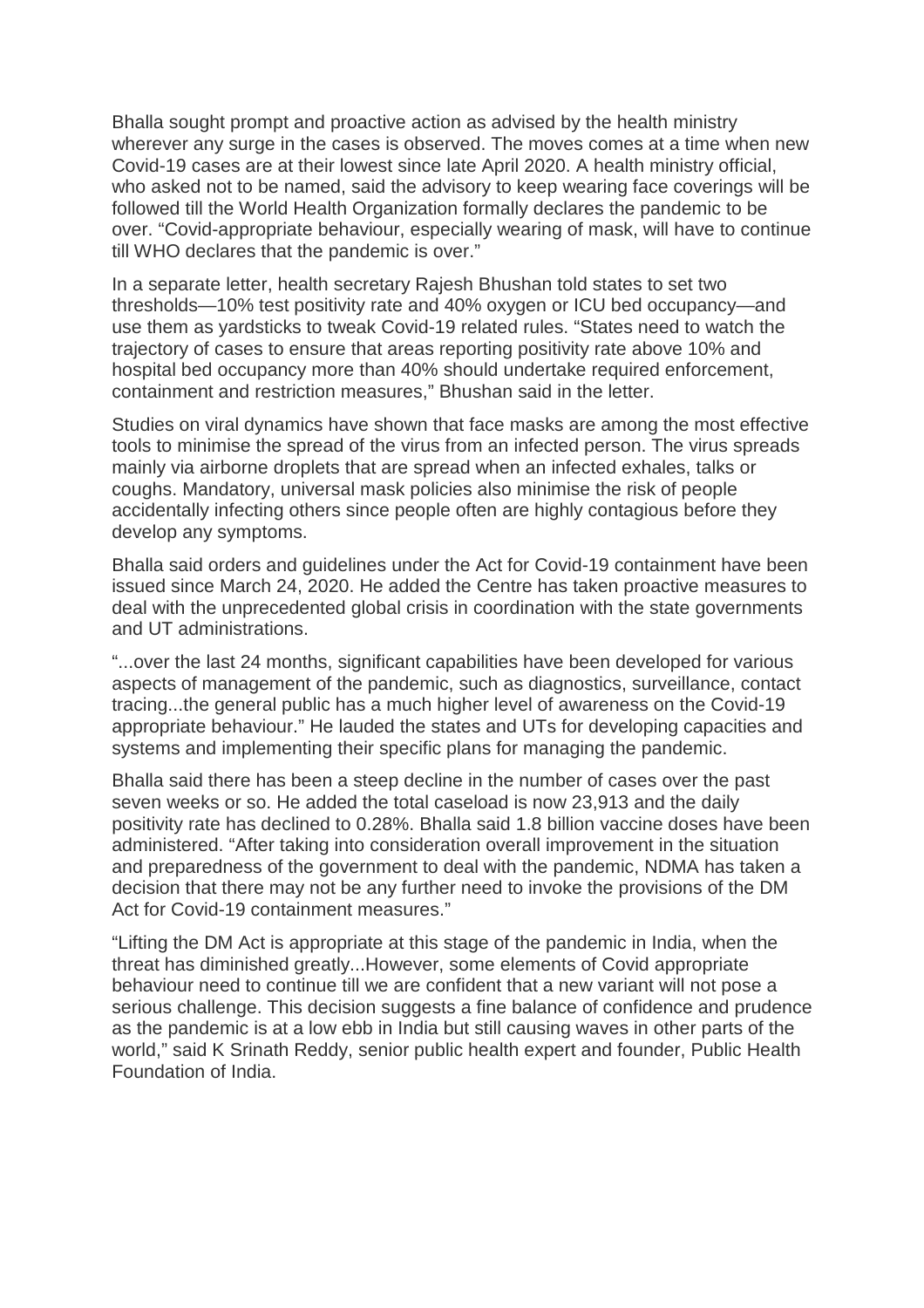Bhalla sought prompt and proactive action as advised by the health ministry wherever any surge in the cases is observed. The moves comes at a time when new Covid-19 cases are at their lowest since late April 2020. A health ministry official, who asked not to be named, said the advisory to keep wearing face coverings will be followed till the World Health Organization formally declares the pandemic to be over. "Covid-appropriate behaviour, especially wearing of mask, will have to continue till WHO declares that the pandemic is over."

In a separate letter, health secretary Rajesh Bhushan told states to set two thresholds—10% test positivity rate and 40% oxygen or ICU bed occupancy—and use them as yardsticks to tweak Covid-19 related rules. "States need to watch the trajectory of cases to ensure that areas reporting positivity rate above 10% and hospital bed occupancy more than 40% should undertake required enforcement, containment and restriction measures," Bhushan said in the letter.

Studies on viral dynamics have shown that face masks are among the most effective tools to minimise the spread of the virus from an infected person. The virus spreads mainly via airborne droplets that are spread when an infected exhales, talks or coughs. Mandatory, universal mask policies also minimise the risk of people accidentally infecting others since people often are highly contagious before they develop any symptoms.

Bhalla said orders and guidelines under the Act for Covid-19 containment have been issued since March 24, 2020. He added the Centre has taken proactive measures to deal with the unprecedented global crisis in coordination with the state governments and UT administrations.

"...over the last 24 months, significant capabilities have been developed for various aspects of management of the pandemic, such as diagnostics, surveillance, contact tracing...the general public has a much higher level of awareness on the Covid-19 appropriate behaviour." He lauded the states and UTs for developing capacities and systems and implementing their specific plans for managing the pandemic.

Bhalla said there has been a steep decline in the number of cases over the past seven weeks or so. He added the total caseload is now 23,913 and the daily positivity rate has declined to 0.28%. Bhalla said 1.8 billion vaccine doses have been administered. "After taking into consideration overall improvement in the situation and preparedness of the government to deal with the pandemic, NDMA has taken a decision that there may not be any further need to invoke the provisions of the DM Act for Covid-19 containment measures."

"Lifting the DM Act is appropriate at this stage of the pandemic in India, when the threat has diminished greatly...However, some elements of Covid appropriate behaviour need to continue till we are confident that a new variant will not pose a serious challenge. This decision suggests a fine balance of confidence and prudence as the pandemic is at a low ebb in India but still causing waves in other parts of the world," said K Srinath Reddy, senior public health expert and founder, Public Health Foundation of India.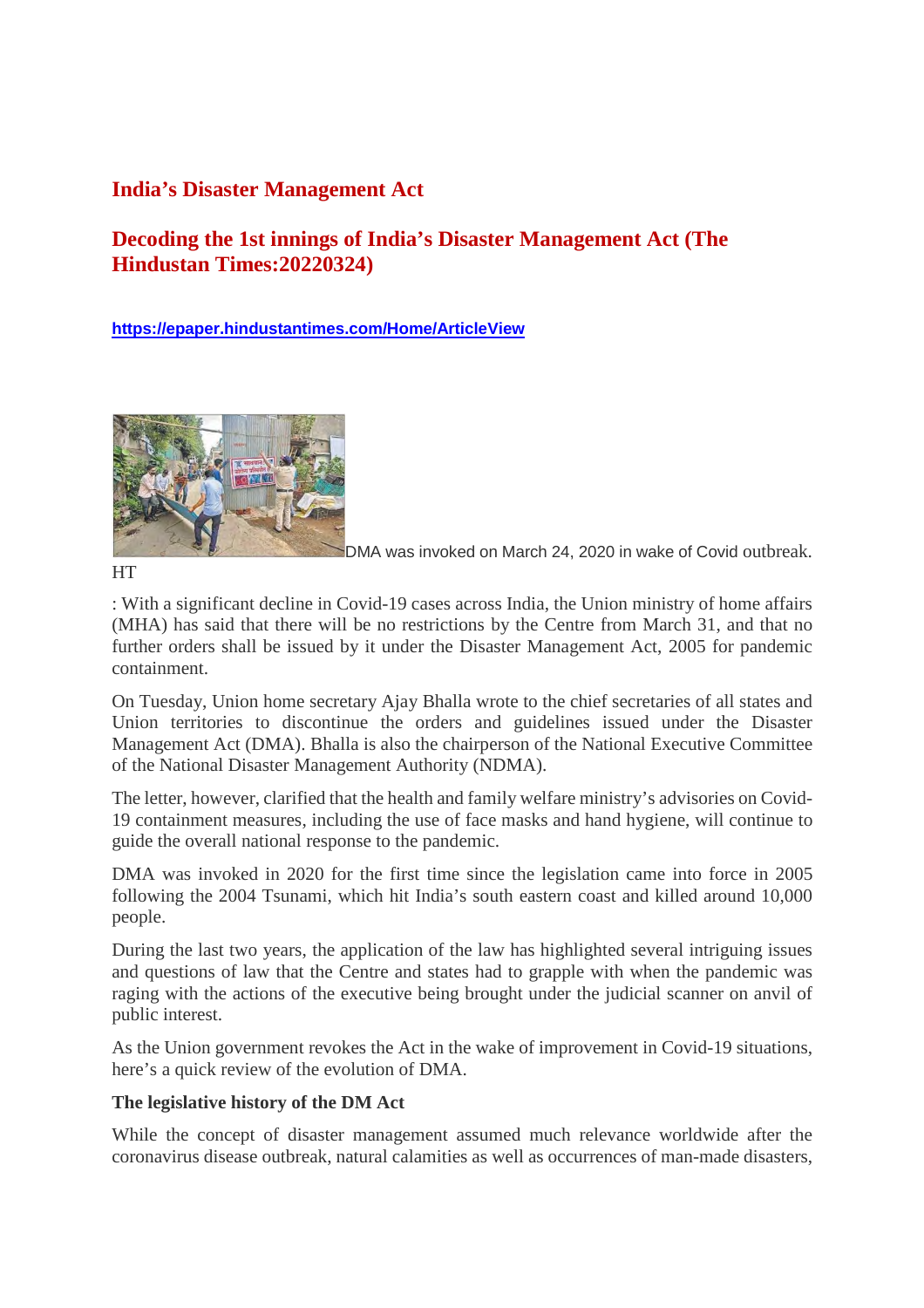#### **India's Disaster Management Act**

#### **Decoding the 1st innings of India's Disaster Management Act (The Hindustan Times:20220324)**

**https://epaper.hindustantimes.com/Home/ArticleView**



DMA was invoked on March 24, 2020 in wake of Covid outbreak.

**HT** 

: With a significant decline in Covid-19 cases across India, the Union ministry of home affairs (MHA) has said that there will be no restrictions by the Centre from March 31, and that no further orders shall be issued by it under the Disaster Management Act, 2005 for pandemic containment.

On Tuesday, Union home secretary Ajay Bhalla wrote to the chief secretaries of all states and Union territories to discontinue the orders and guidelines issued under the Disaster Management Act (DMA). Bhalla is also the chairperson of the National Executive Committee of the National Disaster Management Authority (NDMA).

The letter, however, clarified that the health and family welfare ministry's advisories on Covid-19 containment measures, including the use of face masks and hand hygiene, will continue to guide the overall national response to the pandemic.

DMA was invoked in 2020 for the first time since the legislation came into force in 2005 following the 2004 Tsunami, which hit India's south eastern coast and killed around 10,000 people.

During the last two years, the application of the law has highlighted several intriguing issues and questions of law that the Centre and states had to grapple with when the pandemic was raging with the actions of the executive being brought under the judicial scanner on anvil of public interest.

As the Union government revokes the Act in the wake of improvement in Covid-19 situations, here's a quick review of the evolution of DMA.

#### **The legislative history of the DM Act**

While the concept of disaster management assumed much relevance worldwide after the coronavirus disease outbreak, natural calamities as well as occurrences of man-made disasters,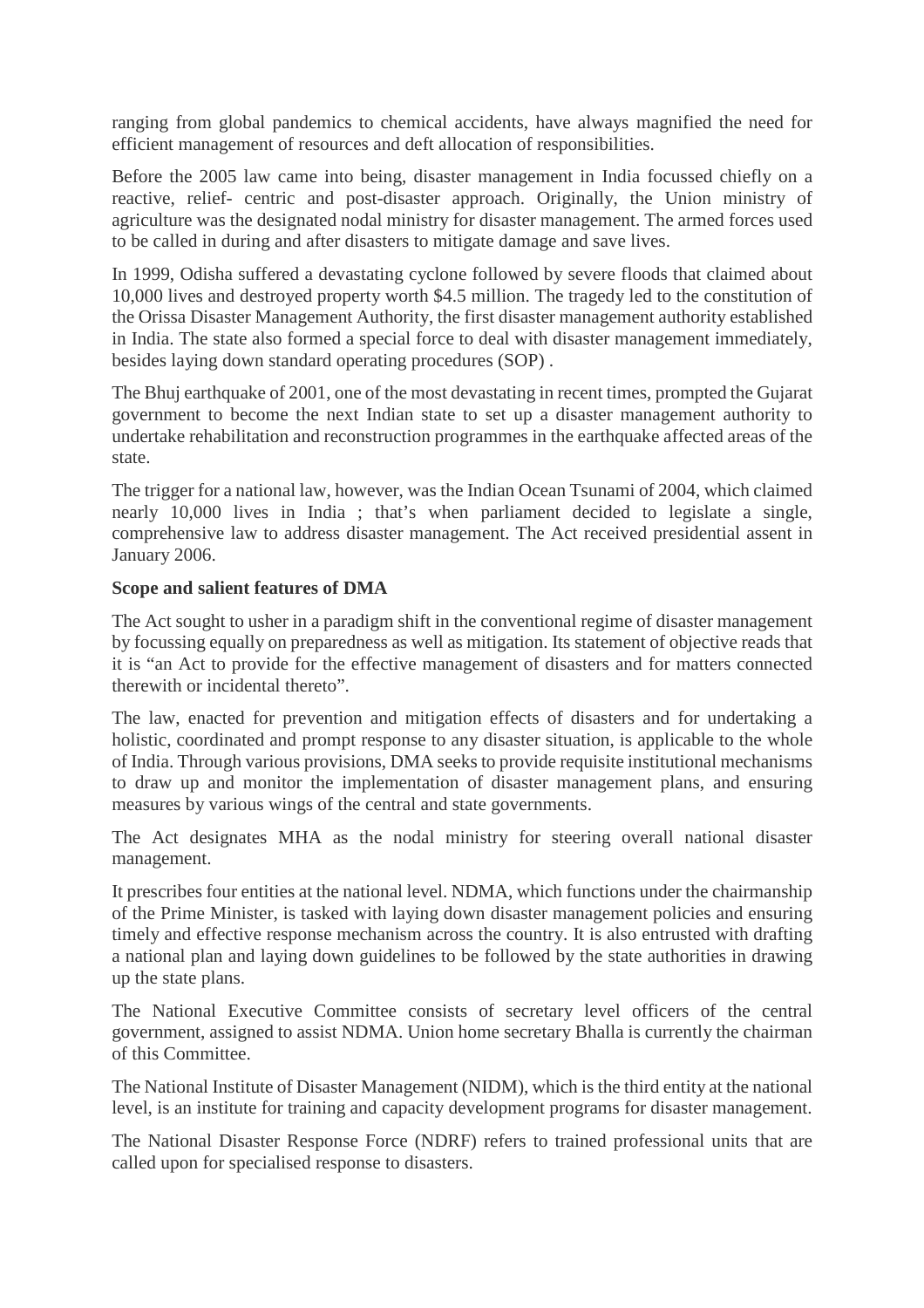ranging from global pandemics to chemical accidents, have always magnified the need for efficient management of resources and deft allocation of responsibilities.

Before the 2005 law came into being, disaster management in India focussed chiefly on a reactive, relief- centric and post-disaster approach. Originally, the Union ministry of agriculture was the designated nodal ministry for disaster management. The armed forces used to be called in during and after disasters to mitigate damage and save lives.

In 1999, Odisha suffered a devastating cyclone followed by severe floods that claimed about 10,000 lives and destroyed property worth \$4.5 million. The tragedy led to the constitution of the Orissa Disaster Management Authority, the first disaster management authority established in India. The state also formed a special force to deal with disaster management immediately, besides laying down standard operating procedures (SOP) .

The Bhuj earthquake of 2001, one of the most devastating in recent times, prompted the Gujarat government to become the next Indian state to set up a disaster management authority to undertake rehabilitation and reconstruction programmes in the earthquake affected areas of the state.

The trigger for a national law, however, was the Indian Ocean Tsunami of 2004, which claimed nearly 10,000 lives in India ; that's when parliament decided to legislate a single, comprehensive law to address disaster management. The Act received presidential assent in January 2006.

#### **Scope and salient features of DMA**

The Act sought to usher in a paradigm shift in the conventional regime of disaster management by focussing equally on preparedness as well as mitigation. Its statement of objective reads that it is "an Act to provide for the effective management of disasters and for matters connected therewith or incidental thereto".

The law, enacted for prevention and mitigation effects of disasters and for undertaking a holistic, coordinated and prompt response to any disaster situation, is applicable to the whole of India. Through various provisions, DMA seeks to provide requisite institutional mechanisms to draw up and monitor the implementation of disaster management plans, and ensuring measures by various wings of the central and state governments.

The Act designates MHA as the nodal ministry for steering overall national disaster management.

It prescribes four entities at the national level. NDMA, which functions under the chairmanship of the Prime Minister, is tasked with laying down disaster management policies and ensuring timely and effective response mechanism across the country. It is also entrusted with drafting a national plan and laying down guidelines to be followed by the state authorities in drawing up the state plans.

The National Executive Committee consists of secretary level officers of the central government, assigned to assist NDMA. Union home secretary Bhalla is currently the chairman of this Committee.

The National Institute of Disaster Management (NIDM), which is the third entity at the national level, is an institute for training and capacity development programs for disaster management.

The National Disaster Response Force (NDRF) refers to trained professional units that are called upon for specialised response to disasters.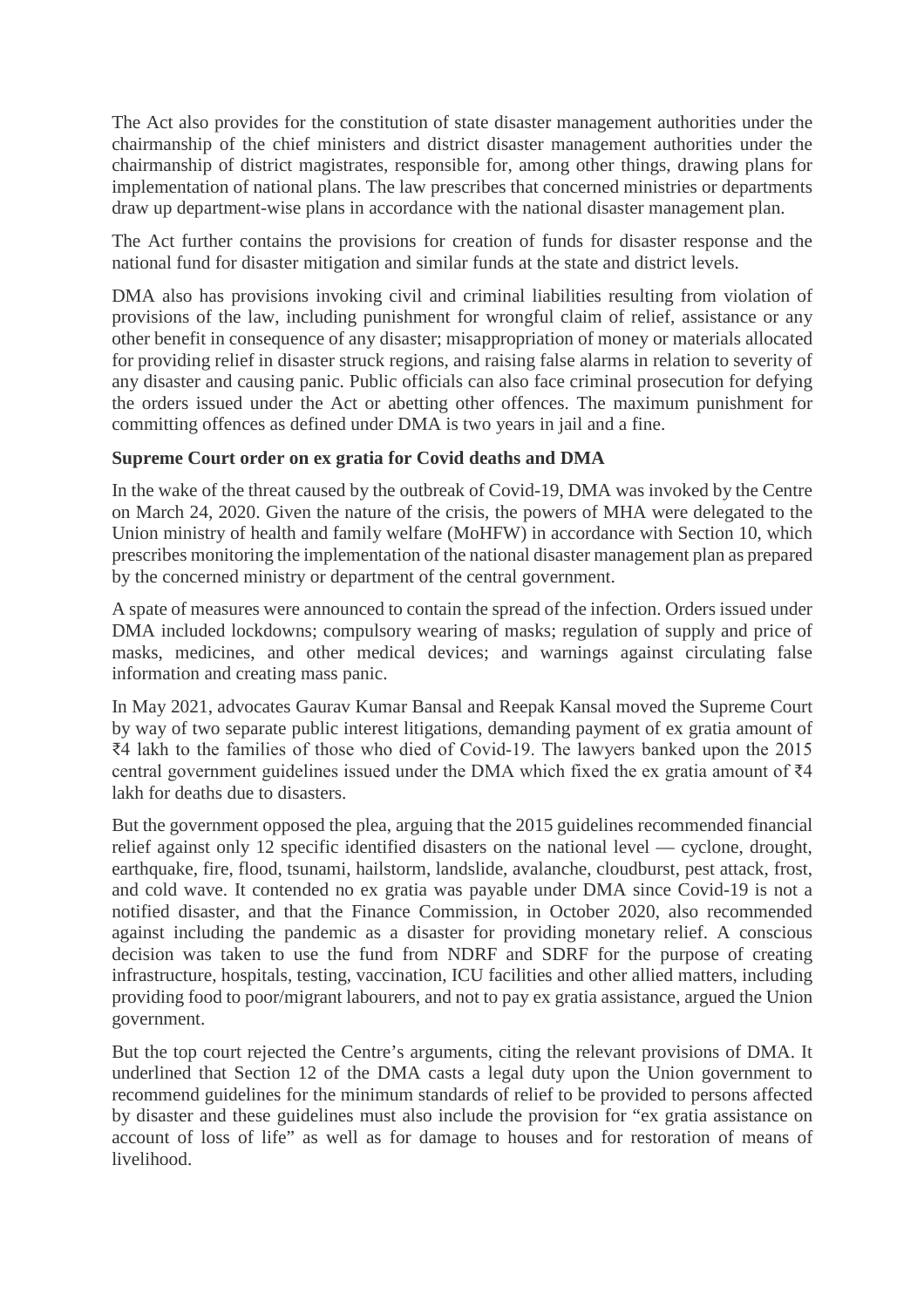The Act also provides for the constitution of state disaster management authorities under the chairmanship of the chief ministers and district disaster management authorities under the chairmanship of district magistrates, responsible for, among other things, drawing plans for implementation of national plans. The law prescribes that concerned ministries or departments draw up department-wise plans in accordance with the national disaster management plan.

The Act further contains the provisions for creation of funds for disaster response and the national fund for disaster mitigation and similar funds at the state and district levels.

DMA also has provisions invoking civil and criminal liabilities resulting from violation of provisions of the law, including punishment for wrongful claim of relief, assistance or any other benefit in consequence of any disaster; misappropriation of money or materials allocated for providing relief in disaster struck regions, and raising false alarms in relation to severity of any disaster and causing panic. Public officials can also face criminal prosecution for defying the orders issued under the Act or abetting other offences. The maximum punishment for committing offences as defined under DMA is two years in jail and a fine.

#### **Supreme Court order on ex gratia for Covid deaths and DMA**

In the wake of the threat caused by the outbreak of Covid-19, DMA was invoked by the Centre on March 24, 2020. Given the nature of the crisis, the powers of MHA were delegated to the Union ministry of health and family welfare (MoHFW) in accordance with Section 10, which prescribes monitoring the implementation of the national disaster management plan as prepared by the concerned ministry or department of the central government.

A spate of measures were announced to contain the spread of the infection. Orders issued under DMA included lockdowns; compulsory wearing of masks; regulation of supply and price of masks, medicines, and other medical devices; and warnings against circulating false information and creating mass panic.

In May 2021, advocates Gaurav Kumar Bansal and Reepak Kansal moved the Supreme Court by way of two separate public interest litigations, demanding payment of ex gratia amount of ₹4 lakh to the families of those who died of Covid-19. The lawyers banked upon the 2015 central government guidelines issued under the DMA which fixed the ex gratia amount of ₹4 lakh for deaths due to disasters.

But the government opposed the plea, arguing that the 2015 guidelines recommended financial relief against only 12 specific identified disasters on the national level — cyclone, drought, earthquake, fire, flood, tsunami, hailstorm, landslide, avalanche, cloudburst, pest attack, frost, and cold wave. It contended no ex gratia was payable under DMA since Covid-19 is not a notified disaster, and that the Finance Commission, in October 2020, also recommended against including the pandemic as a disaster for providing monetary relief. A conscious decision was taken to use the fund from NDRF and SDRF for the purpose of creating infrastructure, hospitals, testing, vaccination, ICU facilities and other allied matters, including providing food to poor/migrant labourers, and not to pay ex gratia assistance, argued the Union government.

But the top court rejected the Centre's arguments, citing the relevant provisions of DMA. It underlined that Section 12 of the DMA casts a legal duty upon the Union government to recommend guidelines for the minimum standards of relief to be provided to persons affected by disaster and these guidelines must also include the provision for "ex gratia assistance on account of loss of life" as well as for damage to houses and for restoration of means of livelihood.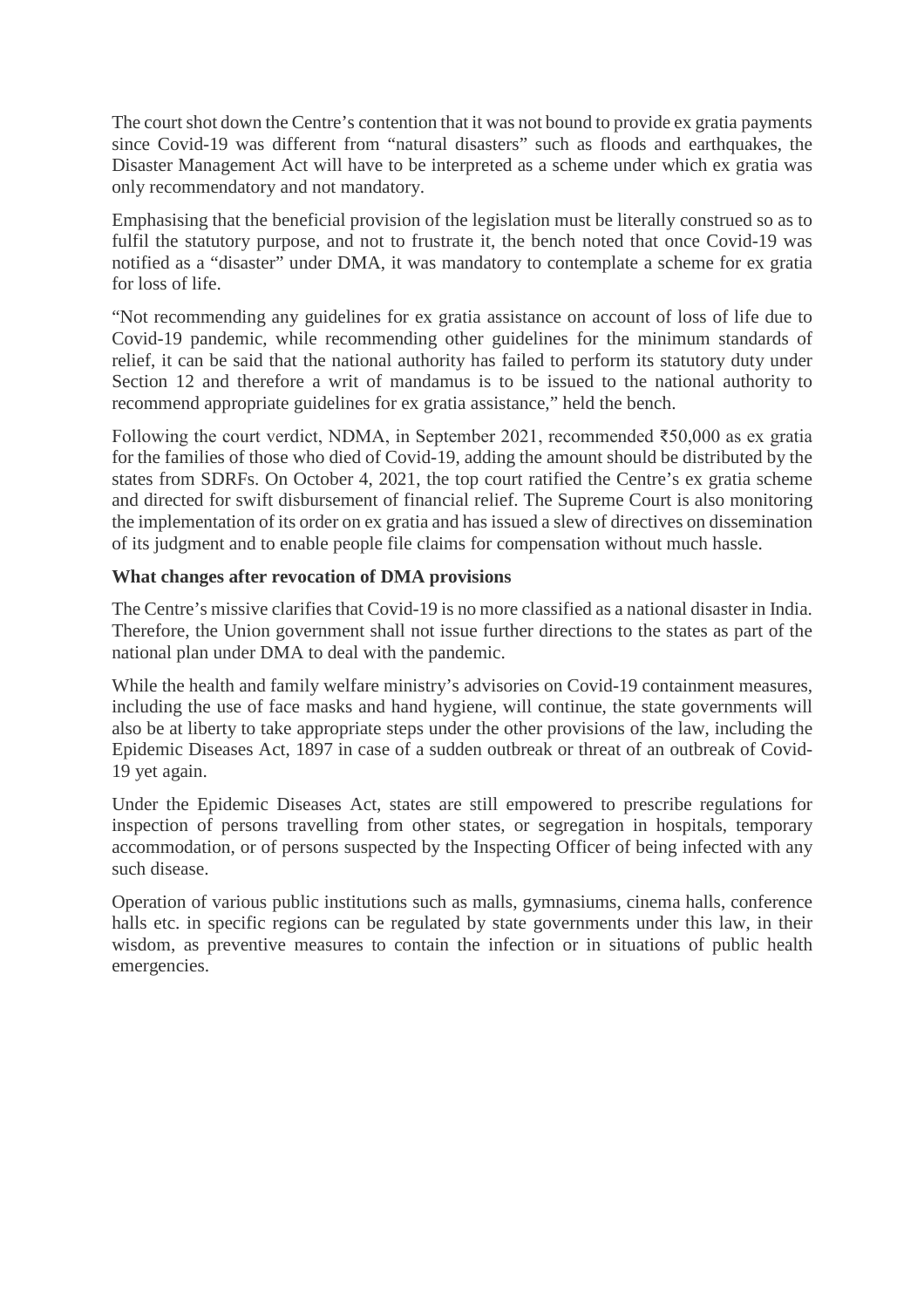The court shot down the Centre's contention that it was not bound to provide ex gratia payments since Covid-19 was different from "natural disasters" such as floods and earthquakes, the Disaster Management Act will have to be interpreted as a scheme under which ex gratia was only recommendatory and not mandatory.

Emphasising that the beneficial provision of the legislation must be literally construed so as to fulfil the statutory purpose, and not to frustrate it, the bench noted that once Covid-19 was notified as a "disaster" under DMA, it was mandatory to contemplate a scheme for ex gratia for loss of life.

"Not recommending any guidelines for ex gratia assistance on account of loss of life due to Covid-19 pandemic, while recommending other guidelines for the minimum standards of relief, it can be said that the national authority has failed to perform its statutory duty under Section 12 and therefore a writ of mandamus is to be issued to the national authority to recommend appropriate guidelines for ex gratia assistance," held the bench.

Following the court verdict, NDMA, in September 2021, recommended  $\overline{550,000}$  as ex gratia for the families of those who died of Covid-19, adding the amount should be distributed by the states from SDRFs. On October 4, 2021, the top court ratified the Centre's ex gratia scheme and directed for swift disbursement of financial relief. The Supreme Court is also monitoring the implementation of its order on ex gratia and has issued a slew of directives on dissemination of its judgment and to enable people file claims for compensation without much hassle.

#### **What changes after revocation of DMA provisions**

The Centre's missive clarifies that Covid-19 is no more classified as a national disaster in India. Therefore, the Union government shall not issue further directions to the states as part of the national plan under DMA to deal with the pandemic.

While the health and family welfare ministry's advisories on Covid-19 containment measures, including the use of face masks and hand hygiene, will continue, the state governments will also be at liberty to take appropriate steps under the other provisions of the law, including the Epidemic Diseases Act, 1897 in case of a sudden outbreak or threat of an outbreak of Covid-19 yet again.

Under the Epidemic Diseases Act, states are still empowered to prescribe regulations for inspection of persons travelling from other states, or segregation in hospitals, temporary accommodation, or of persons suspected by the Inspecting Officer of being infected with any such disease.

Operation of various public institutions such as malls, gymnasiums, cinema halls, conference halls etc. in specific regions can be regulated by state governments under this law, in their wisdom, as preventive measures to contain the infection or in situations of public health emergencies.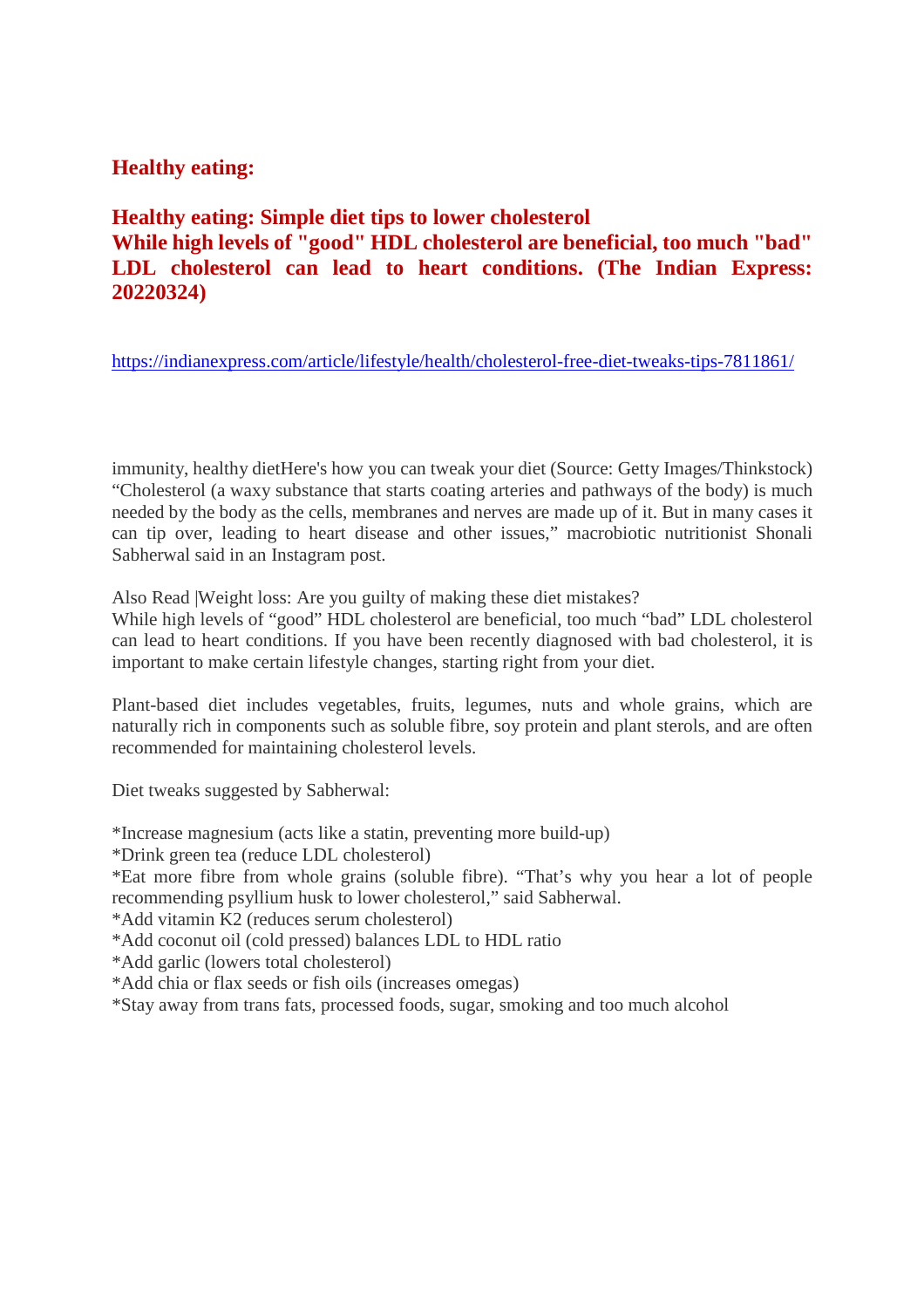#### **Healthy eating:**

**Healthy eating: Simple diet tips to lower cholesterol While high levels of "good" HDL cholesterol are beneficial, too much "bad" LDL cholesterol can lead to heart conditions. (The Indian Express: 20220324)**

https://indianexpress.com/article/lifestyle/health/cholesterol-free-diet-tweaks-tips-7811861/

immunity, healthy dietHere's how you can tweak your diet (Source: Getty Images/Thinkstock) "Cholesterol (a waxy substance that starts coating arteries and pathways of the body) is much needed by the body as the cells, membranes and nerves are made up of it. But in many cases it can tip over, leading to heart disease and other issues," macrobiotic nutritionist Shonali Sabherwal said in an Instagram post.

Also Read |Weight loss: Are you guilty of making these diet mistakes?

While high levels of "good" HDL cholesterol are beneficial, too much "bad" LDL cholesterol can lead to heart conditions. If you have been recently diagnosed with bad cholesterol, it is important to make certain lifestyle changes, starting right from your diet.

Plant-based diet includes vegetables, fruits, legumes, nuts and whole grains, which are naturally rich in components such as soluble fibre, soy protein and plant sterols, and are often recommended for maintaining cholesterol levels.

Diet tweaks suggested by Sabherwal:

\*Increase magnesium (acts like a statin, preventing more build-up)

\*Drink green tea (reduce LDL cholesterol)

\*Eat more fibre from whole grains (soluble fibre). "That's why you hear a lot of people recommending psyllium husk to lower cholesterol," said Sabherwal.

\*Add vitamin K2 (reduces serum cholesterol)

\*Add coconut oil (cold pressed) balances LDL to HDL ratio

\*Add garlic (lowers total cholesterol)

\*Add chia or flax seeds or fish oils (increases omegas)

\*Stay away from trans fats, processed foods, sugar, smoking and too much alcohol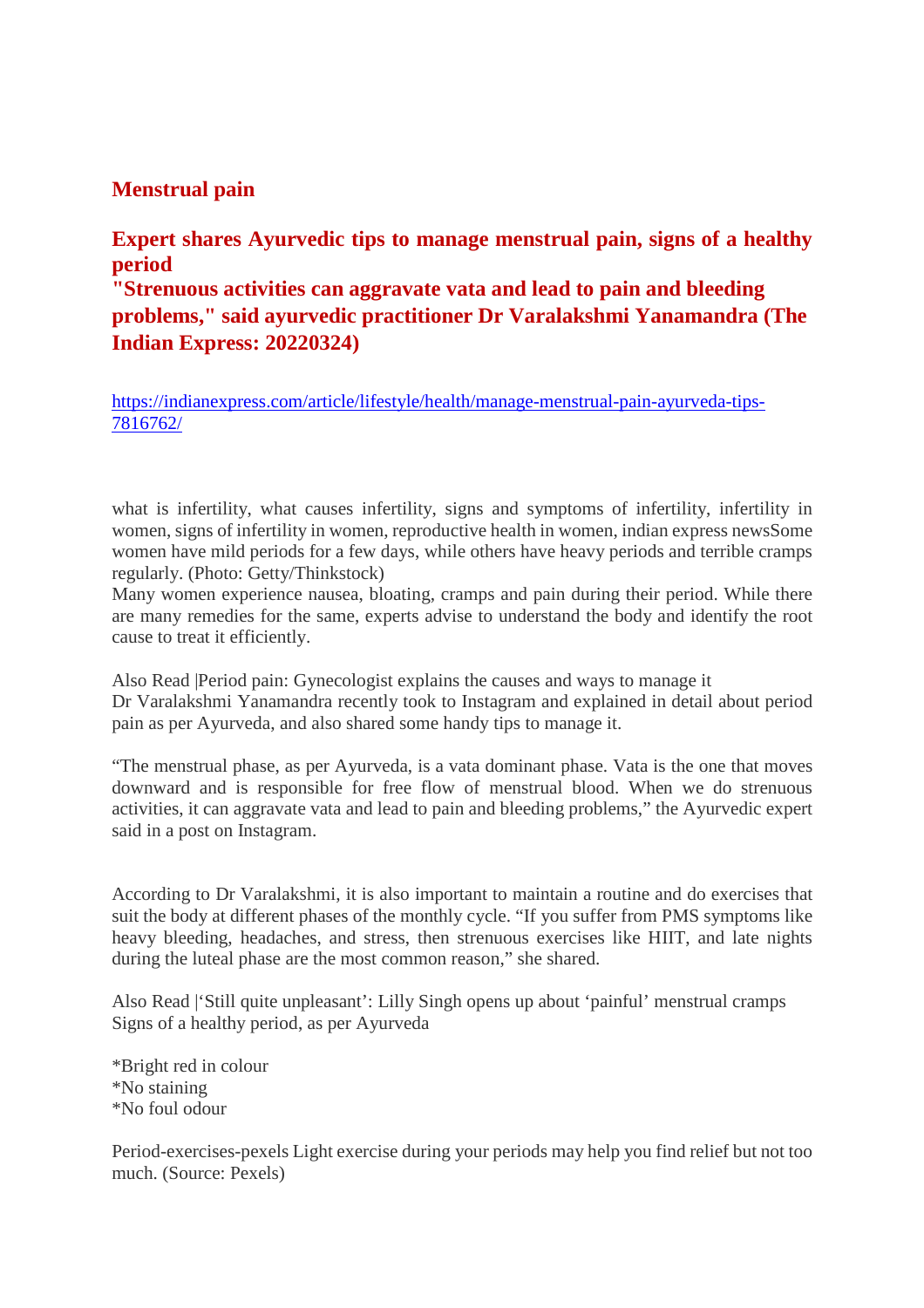#### **Menstrual pain**

#### **Expert shares Ayurvedic tips to manage menstrual pain, signs of a healthy period**

**"Strenuous activities can aggravate vata and lead to pain and bleeding problems," said ayurvedic practitioner Dr Varalakshmi Yanamandra (The Indian Express: 20220324)**

https://indianexpress.com/article/lifestyle/health/manage-menstrual-pain-ayurveda-tips-7816762/

what is infertility, what causes infertility, signs and symptoms of infertility, infertility in women, signs of infertility in women, reproductive health in women, indian express newsSome women have mild periods for a few days, while others have heavy periods and terrible cramps regularly. (Photo: Getty/Thinkstock)

Many women experience nausea, bloating, cramps and pain during their period. While there are many remedies for the same, experts advise to understand the body and identify the root cause to treat it efficiently.

Also Read |Period pain: Gynecologist explains the causes and ways to manage it Dr Varalakshmi Yanamandra recently took to Instagram and explained in detail about period pain as per Ayurveda, and also shared some handy tips to manage it.

"The menstrual phase, as per Ayurveda, is a vata dominant phase. Vata is the one that moves downward and is responsible for free flow of menstrual blood. When we do strenuous activities, it can aggravate vata and lead to pain and bleeding problems," the Ayurvedic expert said in a post on Instagram.

According to Dr Varalakshmi, it is also important to maintain a routine and do exercises that suit the body at different phases of the monthly cycle. "If you suffer from PMS symptoms like heavy bleeding, headaches, and stress, then strenuous exercises like HIIT, and late nights during the luteal phase are the most common reason," she shared.

Also Read |'Still quite unpleasant': Lilly Singh opens up about 'painful' menstrual cramps Signs of a healthy period, as per Ayurveda

\*Bright red in colour \*No staining \*No foul odour

Period-exercises-pexels Light exercise during your periods may help you find relief but not too much. (Source: Pexels)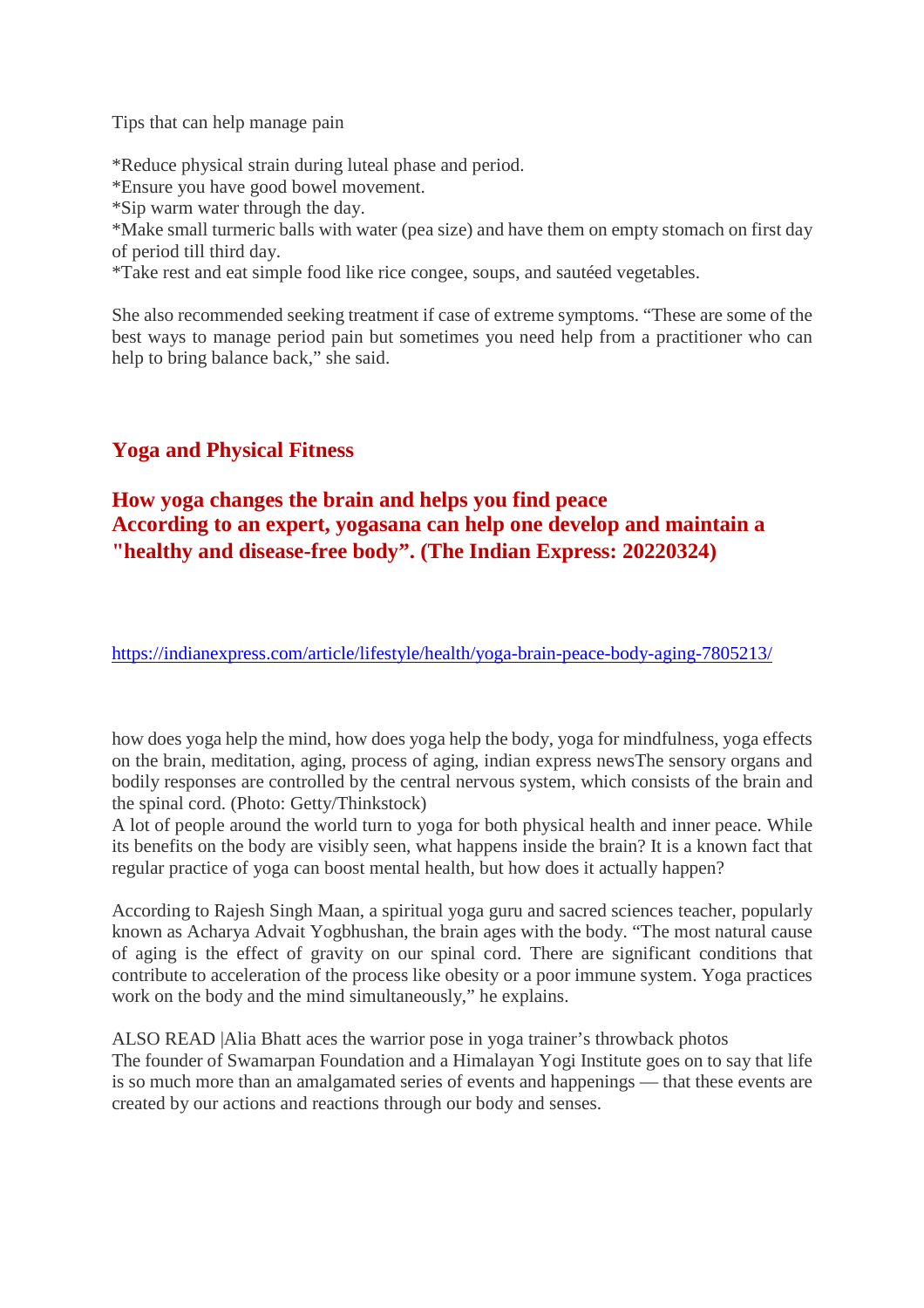Tips that can help manage pain

\*Reduce physical strain during luteal phase and period.

\*Ensure you have good bowel movement.

\*Sip warm water through the day.

\*Make small turmeric balls with water (pea size) and have them on empty stomach on first day of period till third day.

\*Take rest and eat simple food like rice congee, soups, and sautéed vegetables.

She also recommended seeking treatment if case of extreme symptoms. "These are some of the best ways to manage period pain but sometimes you need help from a practitioner who can help to bring balance back," she said.

#### **Yoga and Physical Fitness**

#### **How yoga changes the brain and helps you find peace According to an expert, yogasana can help one develop and maintain a "healthy and disease-free body". (The Indian Express: 20220324)**

https://indianexpress.com/article/lifestyle/health/yoga-brain-peace-body-aging-7805213/

how does yoga help the mind, how does yoga help the body, yoga for mindfulness, yoga effects on the brain, meditation, aging, process of aging, indian express newsThe sensory organs and bodily responses are controlled by the central nervous system, which consists of the brain and the spinal cord. (Photo: Getty/Thinkstock)

A lot of people around the world turn to yoga for both physical health and inner peace. While its benefits on the body are visibly seen, what happens inside the brain? It is a known fact that regular practice of yoga can boost mental health, but how does it actually happen?

According to Rajesh Singh Maan, a spiritual yoga guru and sacred sciences teacher, popularly known as Acharya Advait Yogbhushan, the brain ages with the body. "The most natural cause of aging is the effect of gravity on our spinal cord. There are significant conditions that contribute to acceleration of the process like obesity or a poor immune system. Yoga practices work on the body and the mind simultaneously," he explains.

ALSO READ |Alia Bhatt aces the warrior pose in yoga trainer's throwback photos The founder of Swamarpan Foundation and a Himalayan Yogi Institute goes on to say that life is so much more than an amalgamated series of events and happenings — that these events are created by our actions and reactions through our body and senses.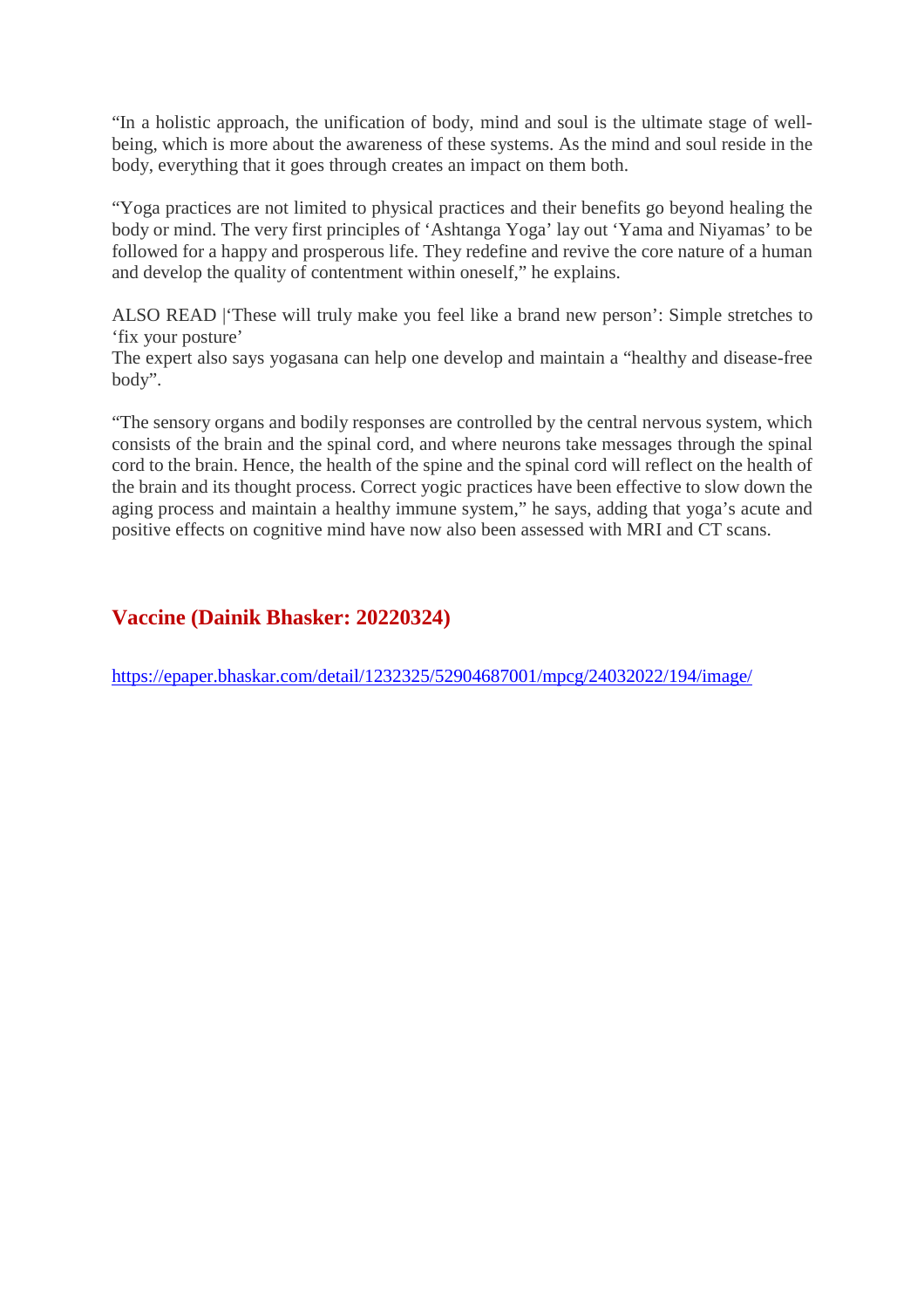"In a holistic approach, the unification of body, mind and soul is the ultimate stage of wellbeing, which is more about the awareness of these systems. As the mind and soul reside in the body, everything that it goes through creates an impact on them both.

"Yoga practices are not limited to physical practices and their benefits go beyond healing the body or mind. The very first principles of 'Ashtanga Yoga' lay out 'Yama and Niyamas' to be followed for a happy and prosperous life. They redefine and revive the core nature of a human and develop the quality of contentment within oneself," he explains.

ALSO READ |'These will truly make you feel like a brand new person': Simple stretches to 'fix your posture'

The expert also says yogasana can help one develop and maintain a "healthy and disease-free body".

"The sensory organs and bodily responses are controlled by the central nervous system, which consists of the brain and the spinal cord, and where neurons take messages through the spinal cord to the brain. Hence, the health of the spine and the spinal cord will reflect on the health of the brain and its thought process. Correct yogic practices have been effective to slow down the aging process and maintain a healthy immune system," he says, adding that yoga's acute and positive effects on cognitive mind have now also been assessed with MRI and CT scans.

#### **Vaccine (Dainik Bhasker: 20220324)**

https://epaper.bhaskar.com/detail/1232325/52904687001/mpcg/24032022/194/image/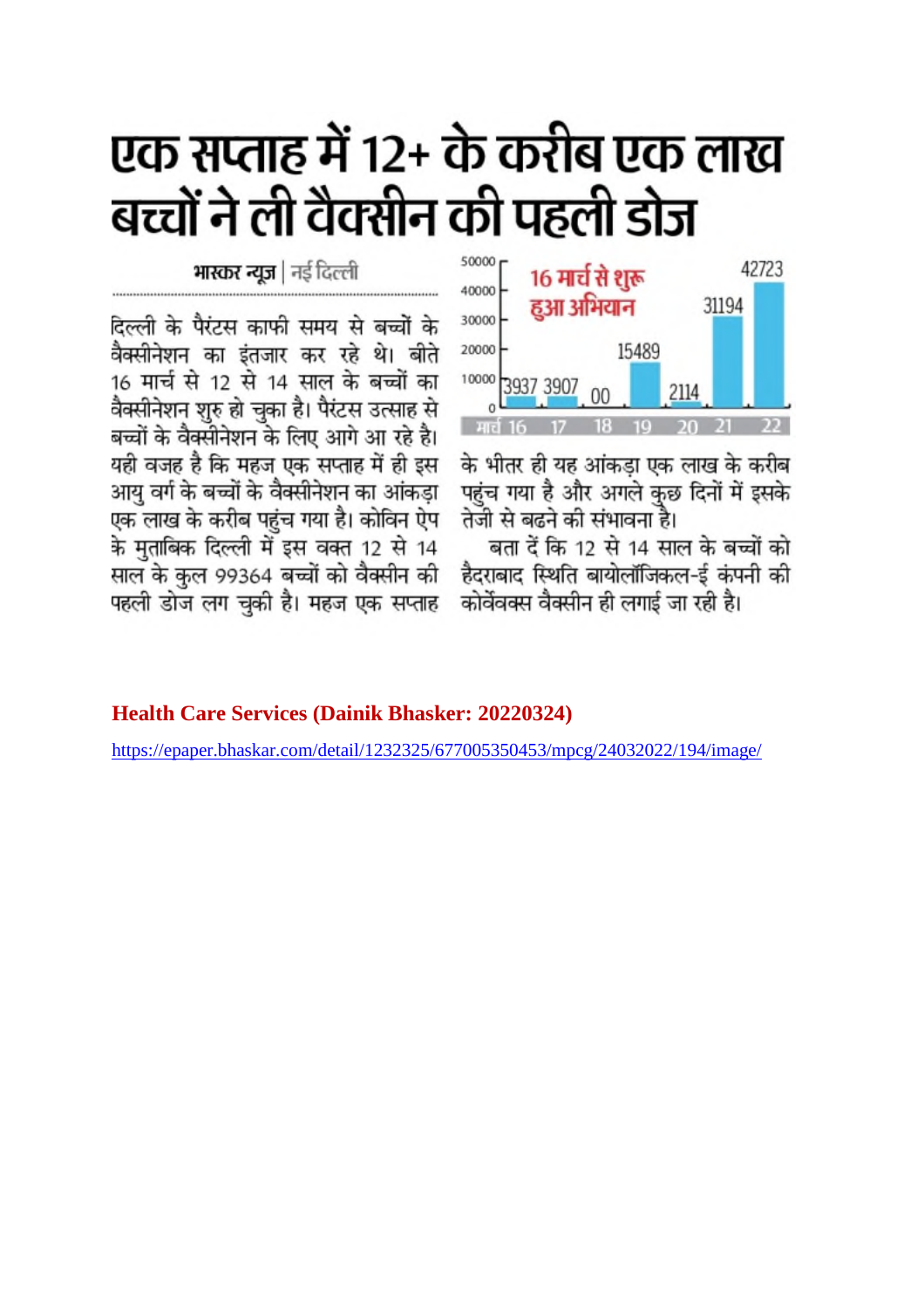# एक सप्ताह में 12+ के करीब एक लाख बच्चों ने ली वैक्सीन की पहली डोज

50000 42723 16 मार्च से शुरू 40000 हुआ अभियान 31194 30000 20000 15489 10000 3937 3907 2114  $00$ 

के भीतर ही यह आंकड़ा एक लाख के करीब पहुंच गया है और अगले कुछ दिनों में इसके तेजी से बढने की संभावना है।

बता दें कि 12 से 14 साल के बच्चों को हैदराबाद स्थिति बायोलॉजिकल-ई कंपनी की कोर्वेवक्स वैक्सीन ही लगाई जा रही है।

#### **Health Care Services (Dainik Bhasker: 20220324)**

**भास्कर न्यूज** | नई दिल्ली

दिल्ली के पैरंटस काफी समय से बच्चों के वैक्सीनेशन का इंतजार कर रहे थे। बीते

16 मार्च से 12 से 14 साल के बच्चों का

वैक्सीनेशन शुरु हो चुका है। पैरंटस उत्साह से बच्चों के वैक्सीनेशन के लिए आगे आ रहे है। यही वजह है कि महज एक सप्ताह में ही इस

आयु वर्ग के बच्चों के वैक्सीनेशन का आंकड़ा

एक लाख के करीब पहुंच गया है। कोविन ऐप

के मुताबिक दिल्ली में इस वक्त 12 से 14

साल के कुल 99364 बच्चों को वैक्सीन की

पहली डोज लग चुकी है। महज एक सप्ताह

https://epaper.bhaskar.com/detail/1232325/677005350453/mpcg/24032022/194/image/